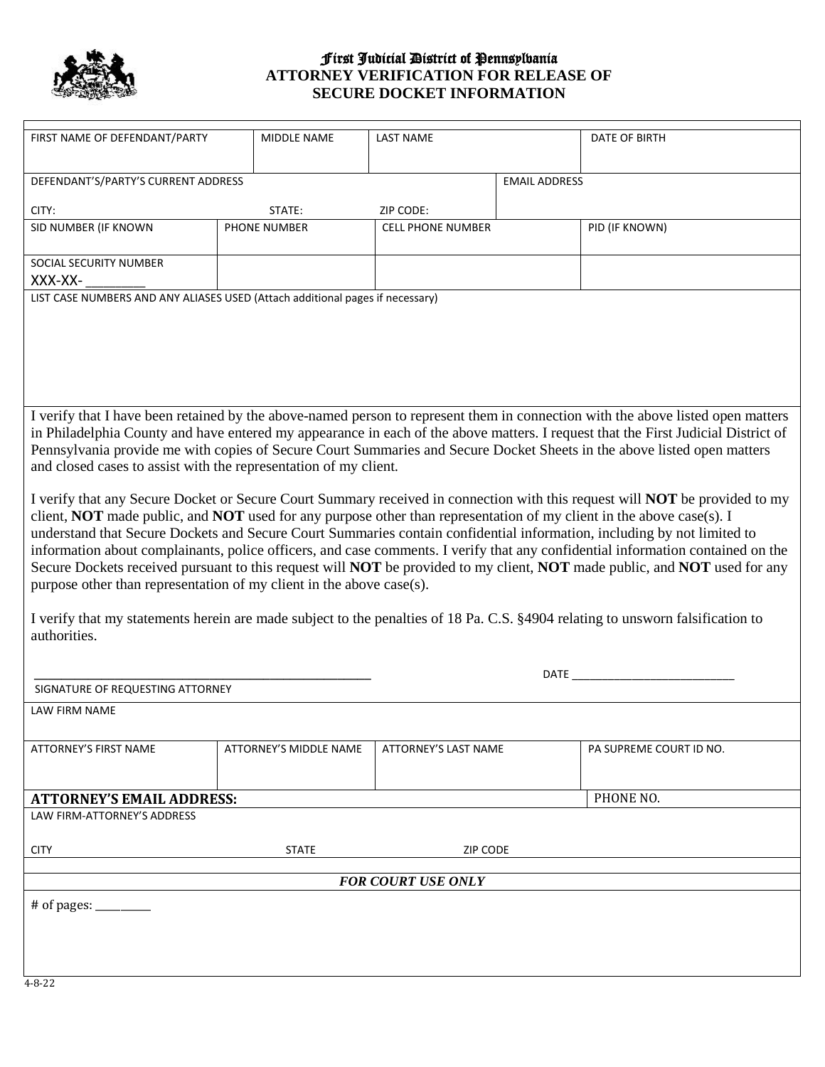

## First Judicial District of Pennsylvania **ATTORNEY VERIFICATION FOR RELEASE OF SECURE DOCKET INFORMATION**

| FIRST NAME OF DEFENDANT/PARTY                                                                                                                                                                                                                                                                                                                                                                                                                                                                                                                                                                                                                                                                                                                                                                                                                                   | MIDDLE NAME            | <b>LAST NAME</b>            |  | DATE OF BIRTH           |
|-----------------------------------------------------------------------------------------------------------------------------------------------------------------------------------------------------------------------------------------------------------------------------------------------------------------------------------------------------------------------------------------------------------------------------------------------------------------------------------------------------------------------------------------------------------------------------------------------------------------------------------------------------------------------------------------------------------------------------------------------------------------------------------------------------------------------------------------------------------------|------------------------|-----------------------------|--|-------------------------|
| DEFENDANT'S/PARTY'S CURRENT ADDRESS                                                                                                                                                                                                                                                                                                                                                                                                                                                                                                                                                                                                                                                                                                                                                                                                                             |                        | <b>EMAIL ADDRESS</b>        |  |                         |
| CITY:<br>STATE:                                                                                                                                                                                                                                                                                                                                                                                                                                                                                                                                                                                                                                                                                                                                                                                                                                                 |                        | ZIP CODE:                   |  |                         |
| SID NUMBER (IF KNOWN                                                                                                                                                                                                                                                                                                                                                                                                                                                                                                                                                                                                                                                                                                                                                                                                                                            | PHONE NUMBER           | <b>CELL PHONE NUMBER</b>    |  | PID (IF KNOWN)          |
| SOCIAL SECURITY NUMBER                                                                                                                                                                                                                                                                                                                                                                                                                                                                                                                                                                                                                                                                                                                                                                                                                                          |                        |                             |  |                         |
| XXX-XX-<br>LIST CASE NUMBERS AND ANY ALIASES USED (Attach additional pages if necessary)                                                                                                                                                                                                                                                                                                                                                                                                                                                                                                                                                                                                                                                                                                                                                                        |                        |                             |  |                         |
|                                                                                                                                                                                                                                                                                                                                                                                                                                                                                                                                                                                                                                                                                                                                                                                                                                                                 |                        |                             |  |                         |
| I verify that I have been retained by the above-named person to represent them in connection with the above listed open matters<br>in Philadelphia County and have entered my appearance in each of the above matters. I request that the First Judicial District of<br>Pennsylvania provide me with copies of Secure Court Summaries and Secure Docket Sheets in the above listed open matters<br>and closed cases to assist with the representation of my client.                                                                                                                                                                                                                                                                                                                                                                                             |                        |                             |  |                         |
| I verify that any Secure Docket or Secure Court Summary received in connection with this request will <b>NOT</b> be provided to my<br>client, NOT made public, and NOT used for any purpose other than representation of my client in the above case(s). I<br>understand that Secure Dockets and Secure Court Summaries contain confidential information, including by not limited to<br>information about complainants, police officers, and case comments. I verify that any confidential information contained on the<br>Secure Dockets received pursuant to this request will NOT be provided to my client, NOT made public, and NOT used for any<br>purpose other than representation of my client in the above case(s).<br>I verify that my statements herein are made subject to the penalties of 18 Pa. C.S. §4904 relating to unsworn falsification to |                        |                             |  |                         |
| authorities.                                                                                                                                                                                                                                                                                                                                                                                                                                                                                                                                                                                                                                                                                                                                                                                                                                                    |                        |                             |  |                         |
|                                                                                                                                                                                                                                                                                                                                                                                                                                                                                                                                                                                                                                                                                                                                                                                                                                                                 | DATE                   |                             |  |                         |
| SIGNATURE OF REQUESTING ATTORNEY                                                                                                                                                                                                                                                                                                                                                                                                                                                                                                                                                                                                                                                                                                                                                                                                                                |                        |                             |  |                         |
| LAW FIRM NAME                                                                                                                                                                                                                                                                                                                                                                                                                                                                                                                                                                                                                                                                                                                                                                                                                                                   |                        |                             |  |                         |
| <b>ATTORNEY'S FIRST NAME</b>                                                                                                                                                                                                                                                                                                                                                                                                                                                                                                                                                                                                                                                                                                                                                                                                                                    | ATTORNEY'S MIDDLE NAME | <b>ATTORNEY'S LAST NAME</b> |  | PA SUPREME COURT ID NO. |
| <b>ATTORNEY'S EMAIL ADDRESS:</b>                                                                                                                                                                                                                                                                                                                                                                                                                                                                                                                                                                                                                                                                                                                                                                                                                                |                        |                             |  | PHONE NO.               |
| LAW FIRM-ATTORNEY'S ADDRESS                                                                                                                                                                                                                                                                                                                                                                                                                                                                                                                                                                                                                                                                                                                                                                                                                                     |                        |                             |  |                         |
| <b>CITY</b>                                                                                                                                                                                                                                                                                                                                                                                                                                                                                                                                                                                                                                                                                                                                                                                                                                                     | <b>STATE</b>           | <b>ZIP CODE</b>             |  |                         |
|                                                                                                                                                                                                                                                                                                                                                                                                                                                                                                                                                                                                                                                                                                                                                                                                                                                                 |                        |                             |  |                         |
| <b>FOR COURT USE ONLY</b>                                                                                                                                                                                                                                                                                                                                                                                                                                                                                                                                                                                                                                                                                                                                                                                                                                       |                        |                             |  |                         |
| # of pages: $\frac{1}{2}$                                                                                                                                                                                                                                                                                                                                                                                                                                                                                                                                                                                                                                                                                                                                                                                                                                       |                        |                             |  |                         |
| $4 - 8 - 22$                                                                                                                                                                                                                                                                                                                                                                                                                                                                                                                                                                                                                                                                                                                                                                                                                                                    |                        |                             |  |                         |